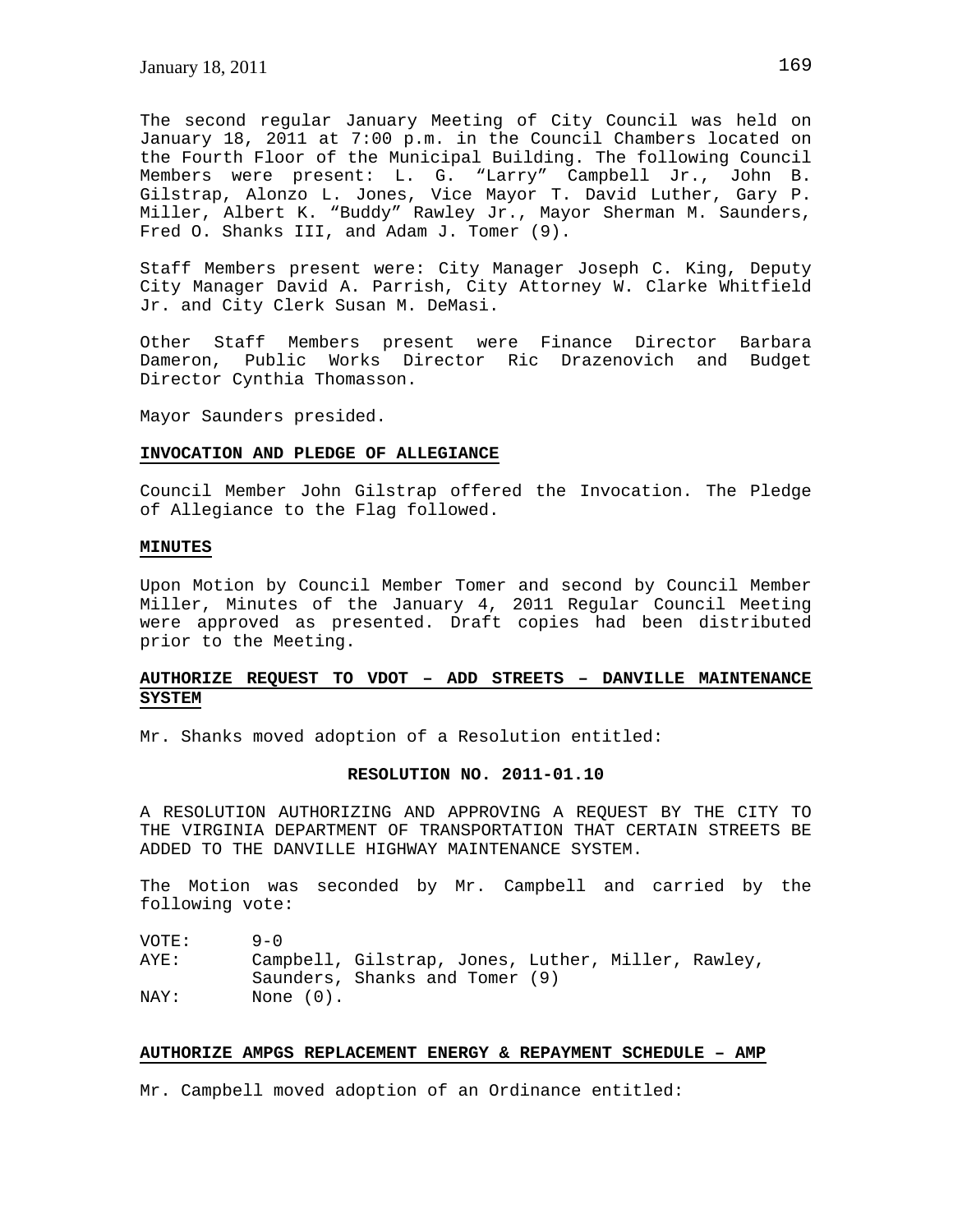The second regular January Meeting of City Council was held on January 18, 2011 at 7:00 p.m. in the Council Chambers located on the Fourth Floor of the Municipal Building. The following Council Members were present: L. G. "Larry" Campbell Jr., John B. Gilstrap, Alonzo L. Jones, Vice Mayor T. David Luther, Gary P. Miller, Albert K. "Buddy" Rawley Jr., Mayor Sherman M. Saunders, Fred O. Shanks III, and Adam J. Tomer (9).

Staff Members present were: City Manager Joseph C. King, Deputy City Manager David A. Parrish, City Attorney W. Clarke Whitfield Jr. and City Clerk Susan M. DeMasi.

Other Staff Members present were Finance Director Barbara Dameron, Public Works Director Ric Drazenovich and Budget Director Cynthia Thomasson.

Mayor Saunders presided.

#### **INVOCATION AND PLEDGE OF ALLEGIANCE**

Council Member John Gilstrap offered the Invocation. The Pledge of Allegiance to the Flag followed.

## **MINUTES**

Upon Motion by Council Member Tomer and second by Council Member Miller, Minutes of the January 4, 2011 Regular Council Meeting were approved as presented. Draft copies had been distributed prior to the Meeting.

# **AUTHORIZE REQUEST TO VDOT – ADD STREETS – DANVILLE MAINTENANCE SYSTEM**

Mr. Shanks moved adoption of a Resolution entitled:

#### **RESOLUTION NO. 2011-01.10**

A RESOLUTION AUTHORIZING AND APPROVING A REQUEST BY THE CITY TO THE VIRGINIA DEPARTMENT OF TRANSPORTATION THAT CERTAIN STREETS BE ADDED TO THE DANVILLE HIGHWAY MAINTENANCE SYSTEM.

The Motion was seconded by Mr. Campbell and carried by the following vote:

| VOTE: | $9 - 0$                                            |  |  |  |
|-------|----------------------------------------------------|--|--|--|
| AYE:  | Campbell, Gilstrap, Jones, Luther, Miller, Rawley, |  |  |  |
|       | Saunders, Shanks and Tomer (9)                     |  |  |  |
| NAY:  | None $(0)$ .                                       |  |  |  |

## **AUTHORIZE AMPGS REPLACEMENT ENERGY & REPAYMENT SCHEDULE – AMP**

Mr. Campbell moved adoption of an Ordinance entitled: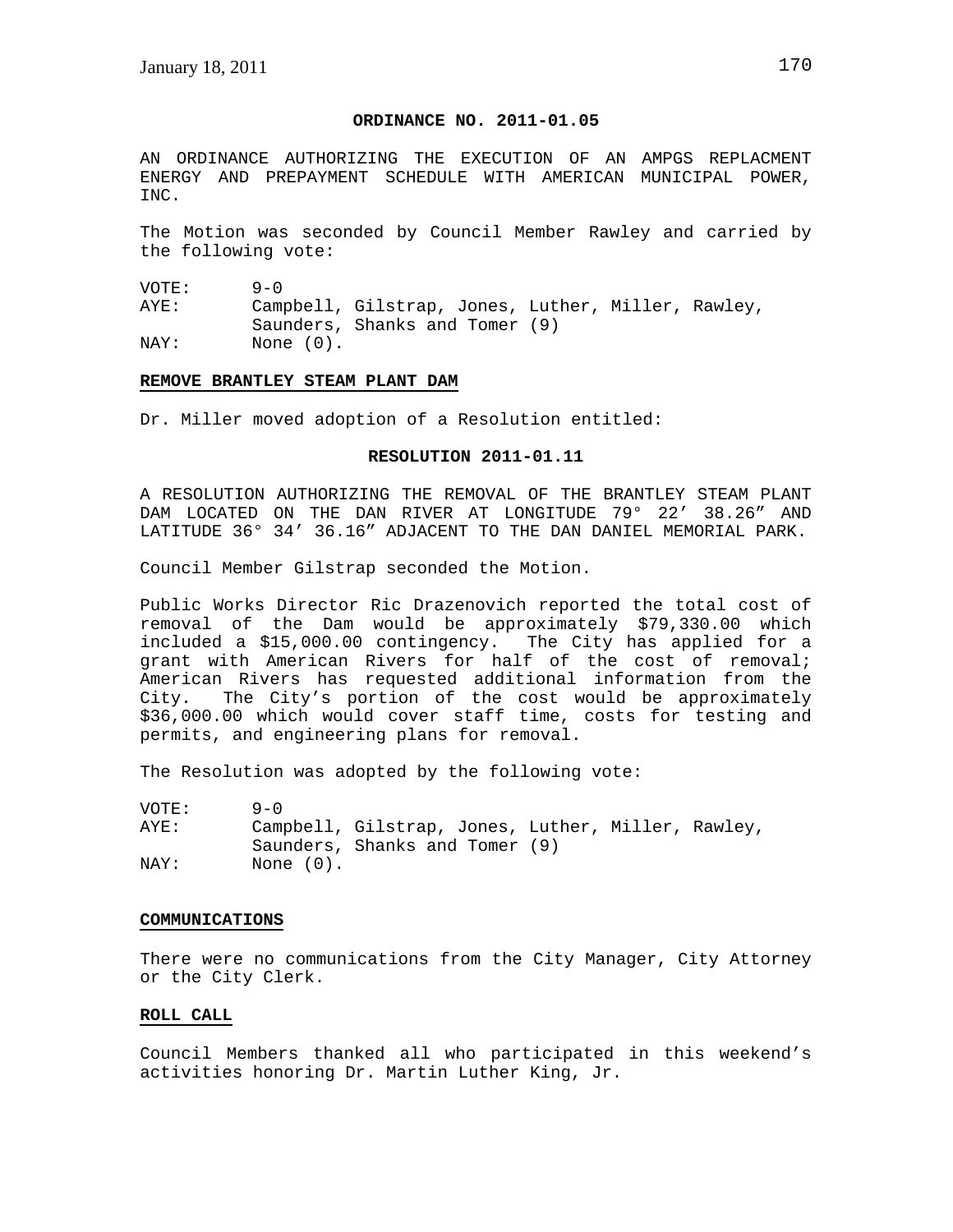## **ORDINANCE NO. 2011-01.05**

AN ORDINANCE AUTHORIZING THE EXECUTION OF AN AMPGS REPLACMENT ENERGY AND PREPAYMENT SCHEDULE WITH AMERICAN MUNICIPAL POWER, INC.

The Motion was seconded by Council Member Rawley and carried by the following vote:

VOTE: 9-0<br>AYE: Cami Campbell, Gilstrap, Jones, Luther, Miller, Rawley, Saunders, Shanks and Tomer (9) NAY: None (0).

### **REMOVE BRANTLEY STEAM PLANT DAM**

Dr. Miller moved adoption of a Resolution entitled:

## **RESOLUTION 2011-01.11**

A RESOLUTION AUTHORIZING THE REMOVAL OF THE BRANTLEY STEAM PLANT DAM LOCATED ON THE DAN RIVER AT LONGITUDE 79° 22' 38.26" AND LATITUDE 36° 34' 36.16" ADJACENT TO THE DAN DANIEL MEMORIAL PARK.

Council Member Gilstrap seconded the Motion.

Public Works Director Ric Drazenovich reported the total cost of removal of the Dam would be approximately \$79,330.00 which included a \$15,000.00 contingency. The City has applied for a grant with American Rivers for half of the cost of removal; American Rivers has requested additional information from the City. The City's portion of the cost would be approximately \$36,000.00 which would cover staff time, costs for testing and permits, and engineering plans for removal.

The Resolution was adopted by the following vote:

| VOTE: | $9 - 0$                                            |  |  |  |
|-------|----------------------------------------------------|--|--|--|
| AYE:  | Campbell, Gilstrap, Jones, Luther, Miller, Rawley, |  |  |  |
|       | Saunders, Shanks and Tomer (9)                     |  |  |  |
| NAY:  | None (0).                                          |  |  |  |

#### **COMMUNICATIONS**

There were no communications from the City Manager, City Attorney or the City Clerk.

### **ROLL CALL**

Council Members thanked all who participated in this weekend's activities honoring Dr. Martin Luther King, Jr.